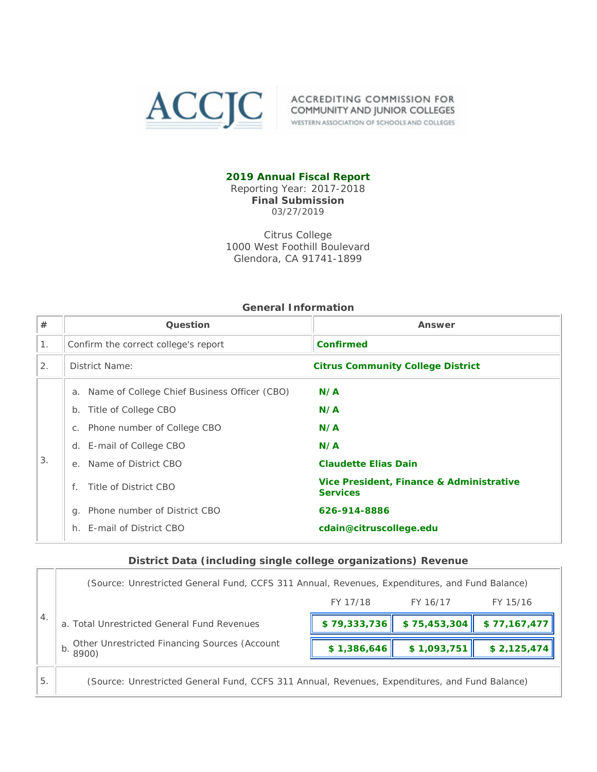

ACCIC ACCREDITING COMMISSION FOR COMMUNITY AND JUNIOR COLLEGES WESTERN ASSOCIATION OF SCHOOLS AND COLLEGES

### **2019 Annual Fiscal Report**

Reporting Year: 2017-2018 **Final Submission** 03/27/2019

Citrus College 1000 West Foothill Boulevard Glendora, CA 91741-1899

|                | ochciai indinaudh                                                                                                                                                                                                                             |                                                                                                                                        |  |  |  |  |
|----------------|-----------------------------------------------------------------------------------------------------------------------------------------------------------------------------------------------------------------------------------------------|----------------------------------------------------------------------------------------------------------------------------------------|--|--|--|--|
| $\#$           | Question                                                                                                                                                                                                                                      | Answer                                                                                                                                 |  |  |  |  |
| 1 <sub>1</sub> | Confirm the correct college's report                                                                                                                                                                                                          | <b>Confirmed</b>                                                                                                                       |  |  |  |  |
| 2.             | District Name:<br><b>Citrus Community College District</b>                                                                                                                                                                                    |                                                                                                                                        |  |  |  |  |
| 3.             | a. Name of College Chief Business Officer (CBO)<br>Title of College CBO<br>b.<br>Phone number of College CBO<br>$C_{1}$<br>d. E-mail of College CBO<br>e. Name of District CBO<br>Title of District CBO<br>Phone number of District CBO<br>a. | N/A<br>N/A<br>N/A<br>N/A<br><b>Claudette Elias Dain</b><br>Vice President, Finance & Administrative<br><b>Services</b><br>626-914-8886 |  |  |  |  |
|                | E-mail of District CBO<br>h.                                                                                                                                                                                                                  | cdain@citruscollege.edu                                                                                                                |  |  |  |  |

## **General Information**

#### **District Data (including single college organizations) Revenue**

|                  | (Source: Unrestricted General Fund, CCFS 311 Annual, Revenues, Expenditures, and Fund Balance) |              |              |              |  |
|------------------|------------------------------------------------------------------------------------------------|--------------|--------------|--------------|--|
|                  |                                                                                                | FY 17/18     | FY 16/17     | FY 15/16     |  |
| $\overline{4}$ . | a. Total Unrestricted General Fund Revenues                                                    | \$79,333,736 | \$75,453,304 | \$77,167,477 |  |
|                  | Other Unrestricted Financing Sources (Account<br>$\parallel$ b. 8900)                          | \$1,386,646  | \$1,093,751  | \$2,125,474  |  |
| 5.               | (Source: Unrestricted General Fund, CCFS 311 Annual, Revenues, Expenditures, and Fund Balance) |              |              |              |  |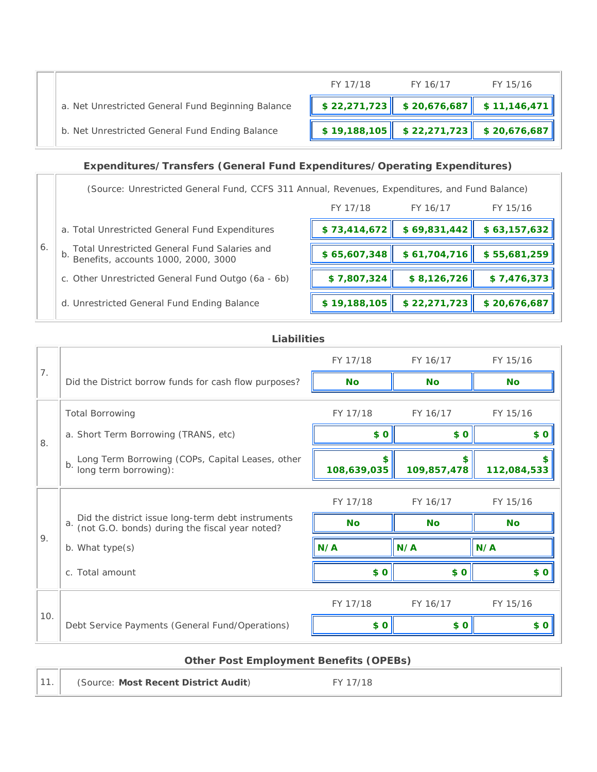

# **Expenditures/Transfers (General Fund Expenditures/Operating Expenditures)**

6. (Source: Unrestricted General Fund, CCFS 311 Annual, Revenues, Expenditures, and Fund Balance) FY 17/18 FY 16/17 FY 15/16 a. Total Unrestricted General Fund Expenditures **\$ 73,414,672 \$ 69,831,442 \$ 63,157,632** b. Total Unrestricted General Fund Salaries and Benefits, accounts 1000, 2000, 3000 **\$ 65,607,348 \$ 61,704,716 \$ 55,681,259** c. Other Unrestricted General Fund Outgo (6a - 6b) **\$ 7,807,324 \$ 8,126,726 \$ 7,476,373** d. Unrestricted General Fund Ending Balance **\$ 19,188,105 \$ 22,271,723 \$ 20,676,687**

### **Liabilities**

|     |                                                                                                           | FY 17/18    | FY 16/17          | FY 15/16          |
|-----|-----------------------------------------------------------------------------------------------------------|-------------|-------------------|-------------------|
| 7.  | Did the District borrow funds for cash flow purposes?                                                     | <b>No</b>   | <b>No</b>         | <b>No</b>         |
|     | <b>Total Borrowing</b>                                                                                    | FY 17/18    | FY 16/17          | FY 15/16          |
| 8.  | a. Short Term Borrowing (TRANS, etc)                                                                      | \$0         | \$0               | \$ 0              |
|     | Long Term Borrowing (COPs, Capital Leases, other<br>long term borrowing):<br>b.                           | 108,639,035 | \$<br>109,857,478 | \$<br>112,084,533 |
|     |                                                                                                           | FY 17/18    | FY 16/17          | FY 15/16          |
|     | Did the district issue long-term debt instruments<br>(not G.O. bonds) during the fiscal year noted?<br>a. | <b>No</b>   | <b>No</b>         | <b>No</b>         |
| 9.  | b. What type(s)                                                                                           | N/A         | N/A               | N/A               |
|     | c. Total amount                                                                                           | \$0         | \$0               | \$0               |
|     |                                                                                                           | FY 17/18    | FY 16/17          | FY 15/16          |
| 10. | Debt Service Payments (General Fund/Operations)                                                           | \$0         | \$0               | \$0               |

| <b>Other Post Employment Benefits (OPEBs)</b> |          |  |  |  |
|-----------------------------------------------|----------|--|--|--|
| (Source: Most Recent District Audit)          | FY 17/18 |  |  |  |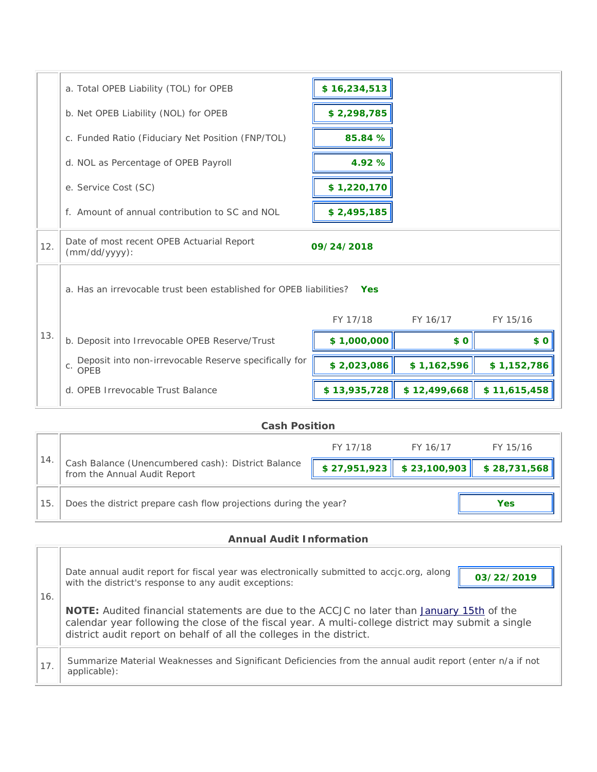|     | a. Total OPEB Liability (TOL) for OPEB                                           | \$16,234,513 |              |              |  |
|-----|----------------------------------------------------------------------------------|--------------|--------------|--------------|--|
|     | b. Net OPEB Liability (NOL) for OPEB                                             | \$2,298,785  |              |              |  |
|     | c. Funded Ratio (Fiduciary Net Position (FNP/TOL)                                | 85.84 %      |              |              |  |
|     | d. NOL as Percentage of OPEB Payroll                                             | 4.92 %       |              |              |  |
|     | e. Service Cost (SC)                                                             | \$1,220,170  |              |              |  |
|     | f. Amount of annual contribution to SC and NOL                                   | \$2,495,185  |              |              |  |
| 12. | Date of most recent OPEB Actuarial Report<br>$(mm/dd/yyyy)$ :                    | 09/24/2018   |              |              |  |
|     | a. Has an irrevocable trust been established for OPEB liabilities?<br><b>Yes</b> |              |              |              |  |
|     |                                                                                  | FY 17/18     | FY 16/17     | FY 15/16     |  |
| 13. | b. Deposit into Irrevocable OPEB Reserve/Trust                                   | \$1,000,000  | \$0          | \$0          |  |
|     | Deposit into non-irrevocable Reserve specifically for<br>$c$ . OPEB              | \$2,023,086  | \$1,162,596  | \$1,152,786  |  |
|     | d. OPEB Irrevocable Trust Balance                                                | \$13,935,728 | \$12,499,668 | \$11,615,458 |  |
|     |                                                                                  |              |              |              |  |

## **Cash Position**

| 14 |                                                                                    | FY 17/18 | FY 16/17 | FY 15/16                                  |
|----|------------------------------------------------------------------------------------|----------|----------|-------------------------------------------|
|    | Cash Balance (Unencumbered cash): District Balance<br>from the Annual Audit Report |          |          | $$27,951,923$ $$23,100,903$ $$28,731,568$ |
| 15 | Does the district prepare cash flow projections during the year?                   |          |          | Yes                                       |

## **Annual Audit Information**

 $\overline{\phantom{a}}$ 

 $\Gamma$ 

| 16. | Date annual audit report for fiscal year was electronically submitted to accjc.org, along<br>03/22/2019<br>with the district's response to any audit exceptions:                                                                                                                      |  |  |  |
|-----|---------------------------------------------------------------------------------------------------------------------------------------------------------------------------------------------------------------------------------------------------------------------------------------|--|--|--|
|     | <b>NOTE:</b> Audited financial statements are due to the ACCJC no later than <b>January 15th</b> of the<br>calendar year following the close of the fiscal year. A multi-college district may submit a single<br>district audit report on behalf of all the colleges in the district. |  |  |  |
| 17. | Summarize Material Weaknesses and Significant Deficiencies from the annual audit report (enter n/a if not<br>applicable):                                                                                                                                                             |  |  |  |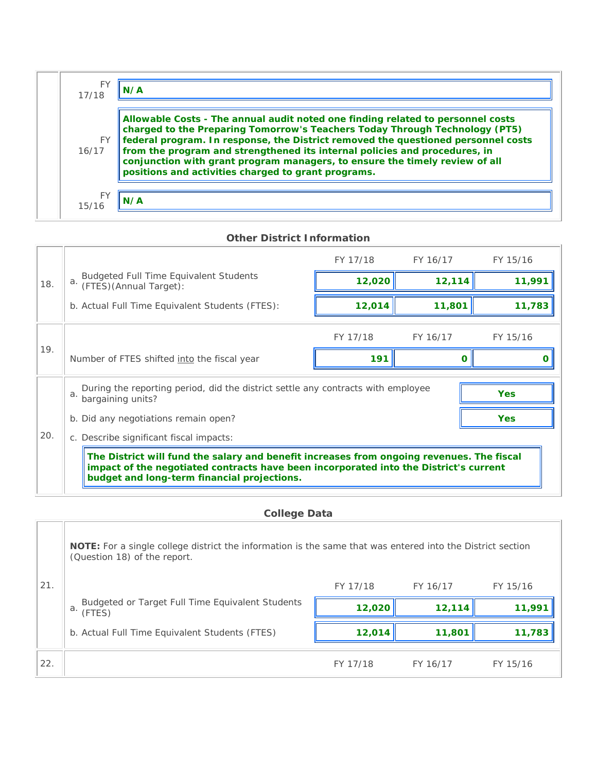| FΥ<br>17/18  | N/A                                                                                                                                                                                                                                                                                                                                                                                                                                                                     |
|--------------|-------------------------------------------------------------------------------------------------------------------------------------------------------------------------------------------------------------------------------------------------------------------------------------------------------------------------------------------------------------------------------------------------------------------------------------------------------------------------|
| FY.<br>16/17 | Allowable Costs - The annual audit noted one finding related to personnel costs<br>charged to the Preparing Tomorrow's Teachers Today Through Technology (PT5)<br>federal program. In response, the District removed the questioned personnel costs<br>from the program and strengthened its internal policies and procedures, in<br>conjunction with grant program managers, to ensure the timely review of all<br>positions and activities charged to grant programs. |
| F۱<br>15/16  | N/A                                                                                                                                                                                                                                                                                                                                                                                                                                                                     |

| <b>Other District Information</b> |                                                 |                                                                                                                                                                                                                                   |          |            |          |  |  |
|-----------------------------------|-------------------------------------------------|-----------------------------------------------------------------------------------------------------------------------------------------------------------------------------------------------------------------------------------|----------|------------|----------|--|--|
|                                   |                                                 |                                                                                                                                                                                                                                   | FY 17/18 | FY 16/17   | FY 15/16 |  |  |
| 18.                               |                                                 | a. Budgeted Full Time Equivalent Students<br>a. (FTES) (Annual Target):                                                                                                                                                           | 12,020   | 12,114     | 11,991   |  |  |
|                                   | b. Actual Full Time Equivalent Students (FTES): |                                                                                                                                                                                                                                   | 12,014   | 11,801     | 11,783   |  |  |
|                                   |                                                 |                                                                                                                                                                                                                                   | FY 17/18 | FY 16/17   | FY 15/16 |  |  |
| 19.                               | Number of FTES shifted into the fiscal year     |                                                                                                                                                                                                                                   | 191      | Ω          | O        |  |  |
|                                   | a.                                              | During the reporting period, did the district settle any contracts with employee<br><b>Yes</b><br>bargaining units?                                                                                                               |          |            |          |  |  |
|                                   |                                                 | b. Did any negotiations remain open?                                                                                                                                                                                              |          | <b>Yes</b> |          |  |  |
| 20.                               |                                                 | c. Describe significant fiscal impacts:                                                                                                                                                                                           |          |            |          |  |  |
|                                   |                                                 | The District will fund the salary and benefit increases from ongoing revenues. The fiscal<br>impact of the negotiated contracts have been incorporated into the District's current<br>budget and long-term financial projections. |          |            |          |  |  |
|                                   |                                                 |                                                                                                                                                                                                                                   |          |            |          |  |  |

|  | <b>College Data</b> |
|--|---------------------|
|  |                     |

and the control

|     | <b>NOTE:</b> For a single college district the information is the same that was entered into the District section<br>(Question 18) of the report. |          |          |          |  |
|-----|---------------------------------------------------------------------------------------------------------------------------------------------------|----------|----------|----------|--|
| 21. |                                                                                                                                                   | FY 17/18 | FY 16/17 | FY 15/16 |  |
|     | Budgeted or Target Full Time Equivalent Students<br>a.<br>(FTES)                                                                                  | 12,020   | 12,114   | 11,991   |  |
|     | b. Actual Full Time Equivalent Students (FTES)                                                                                                    | 12,014   | 11,801   | 11,783   |  |
| 22. |                                                                                                                                                   | FY 17/18 | FY 16/17 | FY 15/16 |  |